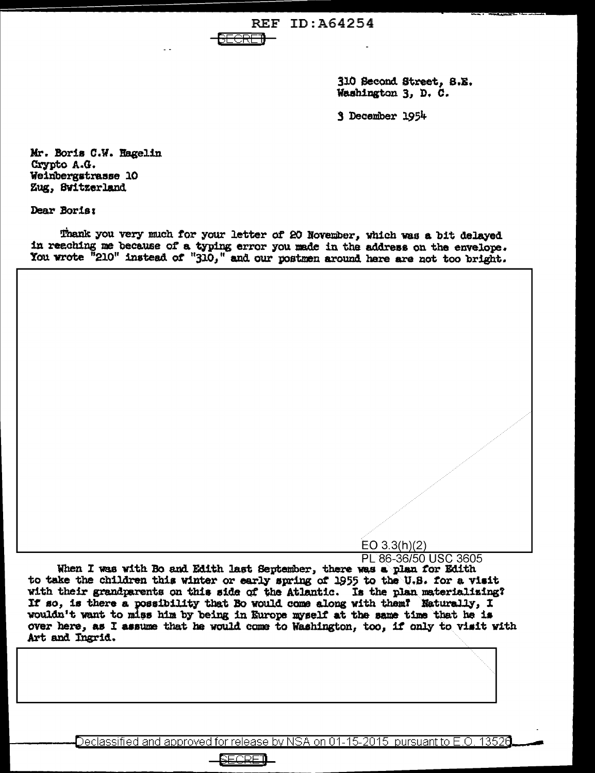**REF ID:A64254** 

310 Second Street, 8.E. Washington 3, D. C.

3 December 1954

Mr. Boris C.W. Hagelin Crypto A.G. Weinbergstrasse 10 Zug, Switzerland

Dear Boris:

Thank you very much for your letter of 20 November, which was a bit delayed in reaching me because of a typing error you made in the address on the envelope. You wrote "210" instead of "310," and our postmen around here are not too bright.

ਜ਼ਜ਼ਜ਼ਜ਼

 $EO 3.3(h)(2)$ 

PL 86-36/50 USC 3605 When I was with Bo and Edith last September, there was a plan for Edith to take the children this winter or early spring of 1955 to the U.S. for a visit with their grandparents on this side of the Atlantic. Is the plan materializing?<br>If so, is there a possibility that Bo would come along with them? Naturally, I wouldn't want to miss him by being in Europe myself at the sam over here, as I assume that he would come to Washington, too, if only to visit with Art and Ingrid.

Declassified and approved for release by NSA on 01-15-2015  $\,$  pursuant to E.O. 13526  $\,$ 

RECRE